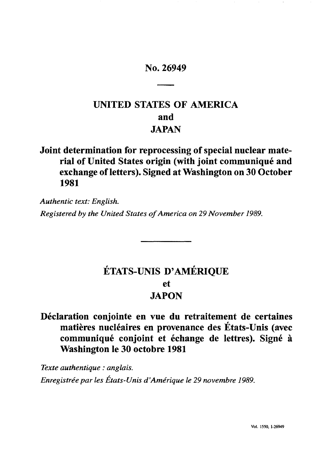# No. 26949

# **UNITED STATES OF AMERICA and JAPAN**

# **Joint determination for reprocessing of special nuclear mate rial of United States origin (with joint communiqué and exchange of letters). Signed at Washington on 30 October 1981**

*Authentic text: English. Registered by the United States of America on 29 November 1989.*

# **ETATS-UNIS D'AMERIQUE et JAPON**

# **Déclaration conjointe en vue du retraitement de certaines matières nucléaires en provenance des États-Unis (avec communiqué conjoint et échange de lettres). Signé à Washington le 30 octobre 1981**

*Texte authentique : anglais. Enregistrée par les États-Unis d'Amérique le 29 novembre 1989.*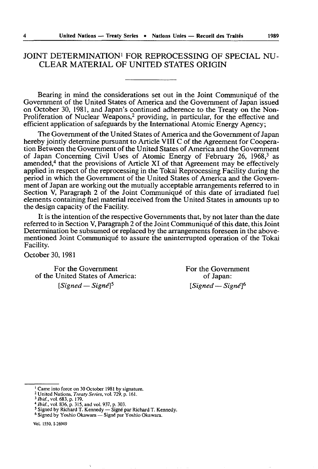## JOINT DETERMINATION1 FOR REPROCESSING OF SPECIAL NU CLEAR MATERIAL OF UNITED STATES ORIGIN

Bearing in mind the considerations set out in the Joint Communiqué of the Government of the United States of America and the Government of Japan issued on October 30, 1981, and Japan's continued adherence to the Treaty on the Non-Proliferation of Nuclear Weapons,2 providing, in particular, for the effective and efficient application of safeguards by the International Atomic Energy Agency;

The Government of the United States of America and the Government of Japan hereby jointly determine pursuant to Article VIII C of the Agreement for Coopera tion Between the Government of the United States of America and the Government of Japan Concerning Civil Uses of Atomic Energy of February 26, 1968,<sup>3</sup> as amended,4 that the provisions of Article XI of that Agreement may be effectively applied in respect of the reprocessing in the Tokai Reprocessing Facility during the period in which the Government of the United States of America and the Govern ment of Japan are working out the mutually acceptable arrangements referred to in Section V, Paragraph 2 of the Joint Communique of this date of irradiated fuel elements containing fuel material received from the United States in amounts up to the design capacity of the Facility.

It is the intention of the respective Governments that, by not later than the date referred to in Section V, Paragraph 2 of the Joint Communique of this date, this Joint Determination be subsumed or replaced by the arrangements foreseen in the abovementioned Joint Communiqué to assure the uninterrupted operation of the Tokai Facility.

October 30, 1981

For the Government<br>United States of America:<br>The Form the Government<br>of Japan: of the United States of America:  $[Signed - Sign\epsilon]^5$  [Signed - Signé]<sup>6</sup>

 $\epsilon$ 

Vol. 1550, 1-26949

<sup>&#</sup>x27; Came into force on 30 October 1981 by signature. 2 United Nations, *Treaty Series,* vol. 729, p. 161.

*<sup>1</sup> Ibid., vol.* 683, p. 179. <sup>4</sup>*Ibid.,* vol. 836, p. 315, and vol. 937, p. 303.

<sup>&</sup>lt;sup>3</sup> Ibid., vol. 683, p. 179.<br><sup>4</sup> Ibid., vol. 836, p. 315, and vol. 937, p. 303.<br><sup>5</sup> Signed by Richard T. Kennedy — Signé par Richard T. Kennedy.<br><sup>6</sup> Signed by Yoshio Okawara — Signé par Yoshio Okawara.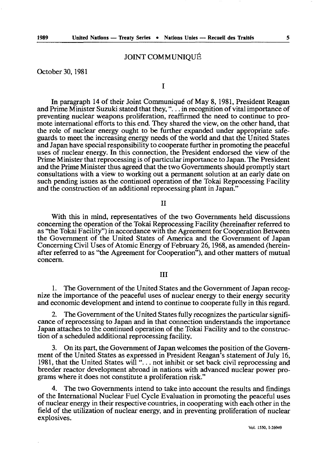### JOINT COMMUNIQU

October 30, 1981

## I

In paragraph 14 of their Joint Communique of May 8, 1981, President Reagan and Prime Minister Suzuki stated that they, "... in recognition of vital importance of preventing nuclear weapons proliferation, reaffirmed the need to continue to pro mote international efforts to this end. They shared the view, on the other hand, that the role of nuclear energy ought to be further expanded under appropriate safe guards to meet the increasing energy needs of the world and that the United States and Japan have special responsibility to cooperate further in promoting the peaceful uses of nuclear energy. In this connection, the President endorsed the view of the Prime Minister that reprocessing is of particular importance to Japan. The President and the Prime Minister thus agreed that the two Governments should promptly start consultations with a view to working out a permanent solution at an early date on such pending issues as the continued operation of the Tokai Reprocessing Facility and the construction of an additional reprocessing plant in Japan."

#### II

With this in mind, representatives of the two Governments held discussions concerning the operation of the Tokai Reprocessing Facility (hereinafter referred to as "the Tokai Facility") in accordance with the Agreement for Cooperation Between the Government of the United States of America and the Government of Japan Concerning Civil Uses of Atomic Energy of February 26,1968, as amended (herein after referred to as "the Agreement for Cooperation"), and other matters of mutual concern.

#### III

1. The Government of the United States and the Government of Japan recog nize the importance of the peaceful uses of nuclear energy to their energy security and economic development and intend to continue to cooperate fully in this regard.

2. The Government of the United States fully recognizes the particular signifi cance of reprocessing to Japan and in that connection understands the importance Japan attaches to the continued operation of the Tokai Facility and to the construc tion of a scheduled additional reprocessing facility.

3. On its part, the Government of Japan welcomes the position of the Govern ment of the United States as expressed in President Reagan's statement of July 16, 1981, that the United States will "... not inhibit or set back civil reprocessing and breeder reactor development abroad in nations with advanced nuclear power pro grams where it does not constitute a proliferation risk."

4. The two Governments intend to take into account the results and findings of the International Nuclear Fuel Cycle Evaluation in promoting the peaceful uses of nuclear energy in their respective countries, in cooperating with each other in the field of the utilization of nuclear energy, and in preventing proliferation of nuclear explosives.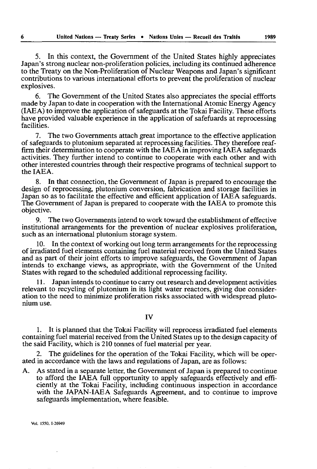5. In this context, the Government of the United States highly appreciates Japan's strong nuclear non-proliferation policies, including its continued adherence to the Treaty on the Non-Proliferation of Nuclear Weapons and Japan's significant contributions to various international efforts to prevent the proliferation of nuclear explosives.

6. The Government of the United States also appreciates the special effforts made by Japan to date in cooperation with the International Atomic Energy Agency (IAEA) to improve the application of safeguards at the Tokai Facility. These efforts have provided valuable experience in the application of safefuards at reprocessing facilities.

7. The two Governments attach great importance to the effective application of safeguards to plutonium separated at reprocessing facilities. They therefore reaf firm their determination to cooperate with the IAEA in improving IAEA safeguards activities. They further intend to continue to cooperate with each other and with other interested countries through their respective programs of technical support to the IAEA.

8. In that connection, the Government of Japan is prepared to encourage the design of reprocessing, plutonium conversion, fabrication and storage facilities in Japan so as to facilitate the effective and efficient application of IAEA safeguards. The Government of Japan is prepared to cooperate with the IAEA to promote this objective.

9. The two Governments intend to work toward the establishment of effective institutional arrangements for the prevention of nuclear explosives proliferation, such as an international plutonium storage system.

10. In the context of working out long term arrangements for the reprocessing of irradiated fuel elements containing fuel material received from the United States and as part of their joint efforts to improve safeguards, the Government of Japan intends to exchange views, as appropriate, with the Government of the United States with regard to the scheduled additional reprocessing facility.

11. Japan intends to continue to carry out research and development activities relevant to recycling of plutonium in its light water reactors, giving due consider ation to the need to minimize proliferation risks associated with widespread pluto nium use.

#### IV

1. It is planned that the Tokai Facility will reprocess irradiated fuel elements containing fuel material received from the United States up to the design capacity of the said Facility, which is 210 tonnes of fuel material per year.

2. The guidelines for the operation of the Tokai Facility, which will be oper ated in accordance with the laws and regulations of Japan, are as follows:

A. As stated in a separate letter, the Government of Japan is prepared to continue to afford the IAEA full opportunity to apply safeguards effectively and effi ciently at the Tokai Facility, including continuous inspection in accordance with the JAPAN-IAEA Safeguards Agreement, and to continue to improve safeguards implementation, where feasible.

Vol. 1550, 1-26949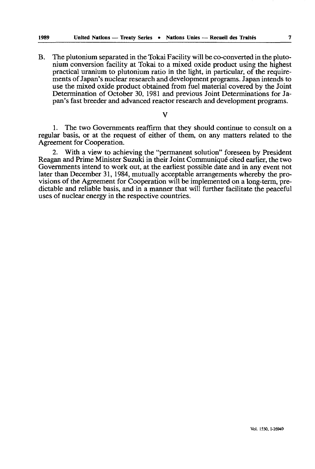B. The plutonium separated in the Tokai Facility will be co-converted in the pluto nium conversion facility at Tokai to a mixed oxide product using the highest practical uranium to plutonium ratio in the light, in particular, of the require ments of Japan's nuclear research and development programs. Japan intends to use the mixed oxide product obtained from fuel material covered by the Joint Determination of October 30, 1981 and previous Joint Determinations for Ja pan's fast breeder and advanced reactor research and development programs.

#### V

1. The two Governments reaffirm that they should continue to consult on a regular basis, or at the request of either of them, on any matters related to the Agreement for Cooperation.

2. With a view to achieving the "permanent solution" foreseen by President Reagan and Prime Minister Suzuki in their Joint Communique cited earlier, the two Governments intend to work out, at the earliest possible date and in any event not later than December 31, 1984, mutually acceptable arrangements whereby the pro visions of the Agreement for Cooperation will be implemented on a long-term, pre dictable and reliable basis, and in a manner that will further facilitate the peaceful uses of nuclear energy in the respective countries.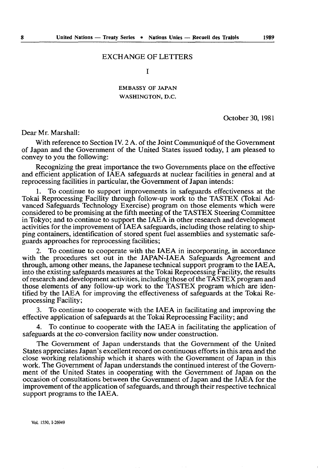#### EXCHANGE OF LETTERS

I

## EMBASSY OF JAPAN WASHINGTON, D.C.

October 30, 1981

Dear Mr. Marshall:

With reference to Section IV. 2 A. of the Joint Communique of the Government of Japan and the Government of the United States issued today, I am pleased to convey to you the following:

Recognizing the great importance the two Governments place on the effective and efficient application of IAEA safeguards at nuclear facilities in general and at reprocessing facilities in particular, the Government of Japan intends:

1. To continue to support improvements in safeguards effectiveness at the Tokai Reprocessing Facility through follow-up work to the TASTEX (Tokai Ad vanced Safeguards Technology Exercise) program on those elements which were considered to be promising at the fifth meeting of the TASTEX Steering Committee in Tokyo; and to continue to support the IAEA in other research and development activities for the improvement of IAEA safeguards, including those relating to ship ping containers, identification of stored spent fuel assemblies and systematic safe guards approaches for reprocessing facilities;

2. To continue to cooperate with the IAEA in incorporating, in accordance with the procedures set out in the JAPAN-IAEA Safeguards Agreement and through, among other means, the Japanese technical support program to the IAEA, into the existing safeguards measures at the Tokai Reprocessing Facility, the results of research and development activities, including those of the TASTEX program and those elements of any follow-up work to the TASTEX program which are iden tified by the IAEA for improving the effectiveness of safeguards at the Tokai Re processing Facility;

To continue to cooperate with the IAEA in facilitating and improving the effective application of safeguards at the Tokai Reprocessing Facility; and

4. To continue to cooperate with the IAEA in facilitating the application of safeguards at the co-conversion facility now under construction.

The Government of Japan understands that the Government of the United States appreciates Japan's excellent record on continuous efforts in this area and the close working relationship which it shares with the Government of Japan in this work. The Government of Japan understands the continued interest of the Govern ment of the United States in cooperating with the Government of Japan on the occasion of consultations between the Government of Japan and the IAEA for the improvement of the application of safeguards, and through their respective technical support programs to the IAEA.